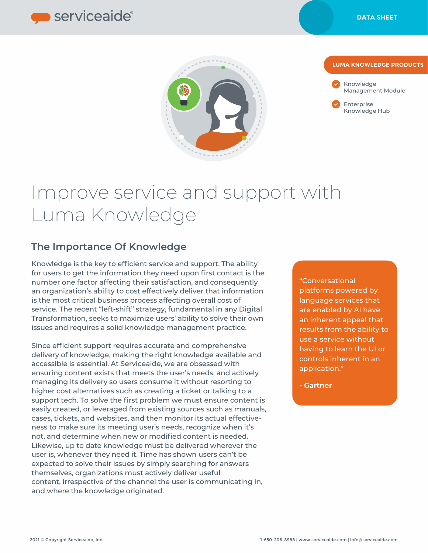



#### **LUMA KNOWLEDGE PRODUCTS**



Enterprise Knowledge Hub

# Improve service and support with Luma Knowledge

## **The Importance Of Knowledge**

Knowledge is the key to efficient service and support. The ability for users to get the information they need upon first contact is the number one factor affecting their satisfaction, and consequently an organization's ability to cost effectively deliver that information is the most critical business process affecting overall cost of service. The recent "left-shift" strategy, fundamental in any Digital Transformation, seeks to maximize users' ability to solve their own issues and requires a solid knowledge management practice.

Since efficient support requires accurate and comprehensive delivery of knowledge, making the right knowledge available and accessible is essential. At Serviceaide, we are obsessed with ensuring content exists that meets the user's needs, and actively managing its delivery so users consume it without resorting to higher cost alternatives such as creating a ticket or talking to a support tech. To solve the first problem we must ensure content is easily created, or leveraged from existing sources such as manuals, cases, tickets, and websites, and then monitor its actual effectiveness to make sure its meeting user's needs, recognize when it's not, and determine when new or modified content is needed. Likewise, up to date knowledge must be delivered wherever the user is, whenever they need it. Time has shown users can't be expected to solve their issues by simply searching for answers themselves, organizations must actively deliver useful content, irrespective of the channel the user is communicating in, and where the knowledge originated.

"Conversational platforms powered by language services that are enabled by AI have an inherent appeal that results from the ability to use a service without having to learn the UI or controls inherent in an application."

**- Gartner**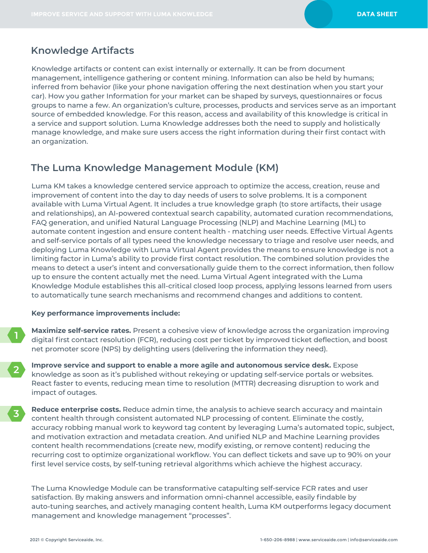### **Knowledge Artifacts**

Knowledge artifacts or content can exist internally or externally. It can be from document management, intelligence gathering or content mining. Information can also be held by humans; inferred from behavior (like your phone navigation offering the next destination when you start your car). How you gather Information for your market can be shaped by surveys, questionnaires or focus groups to name a few. An organization's culture, processes, products and services serve as an important source of embedded knowledge. For this reason, access and availability of this knowledge is critical in a service and support solution. Luma Knowledge addresses both the need to supply and holistically manage knowledge, and make sure users access the right information during their first contact with an organization.

## **The Luma Knowledge Management Module (KM)**

Luma KM takes a knowledge centered service approach to optimize the access, creation, reuse and improvement of content into the day to day needs of users to solve problems. It is a component available with Luma Virtual Agent. It includes a true knowledge graph (to store artifacts, their usage and relationships), an AI-powered contextual search capability, automated curation recommendations, FAQ generation, and unified Natural Language Processing (NLP) and Machine Learning (ML) to automate content ingestion and ensure content health - matching user needs. Effective Virtual Agents and self-service portals of all types need the knowledge necessary to triage and resolve user needs, and deploying Luma Knowledge with Luma Virtual Agent provides the means to ensure knowledge is not a limiting factor in Luma's ability to provide first contact resolution. The combined solution provides the means to detect a user's intent and conversationally guide them to the correct information, then follow up to ensure the content actually met the need. Luma Virtual Agent integrated with the Luma Knowledge Module establishes this all-critical closed loop process, applying lessons learned from users to automatically tune search mechanisms and recommend changes and additions to content.

#### **Key performance improvements include:**

- **Maximize self-service rates.** Present a cohesive view of knowledge across the organization improving digital first contact resolution (FCR), reducing cost per ticket by improved ticket deflection, and boost net promoter score (NPS) by delighting users (delivering the information they need).
- **Improve service and support to enable a more agile and autonomous service desk.** Expose knowledge as soon as it's published without rekeying or updating self-service portals or websites. React faster to events, reducing mean time to resolution (MTTR) decreasing disruption to work and impact of outages.
- **Reduce enterprise costs.** Reduce admin time, the analysis to achieve search accuracy and maintain content health through consistent automated NLP processing of content. Eliminate the costly, accuracy robbing manual work to keyword tag content by leveraging Luma's automated topic, subject, and motivation extraction and metadata creation. And unified NLP and Machine Learning provides content health recommendations (create new, modify existing, or remove content) reducing the recurring cost to optimize organizational workflow. You can deflect tickets and save up to 90% on your first level service costs, by self-tuning retrieval algorithms which achieve the highest accuracy.

The Luma Knowledge Module can be transformative catapulting self-service FCR rates and user satisfaction. By making answers and information omni-channel accessible, easily findable by auto-tuning searches, and actively managing content health, Luma KM outperforms legacy document management and knowledge management "processes".

**1**

**2**

**3**